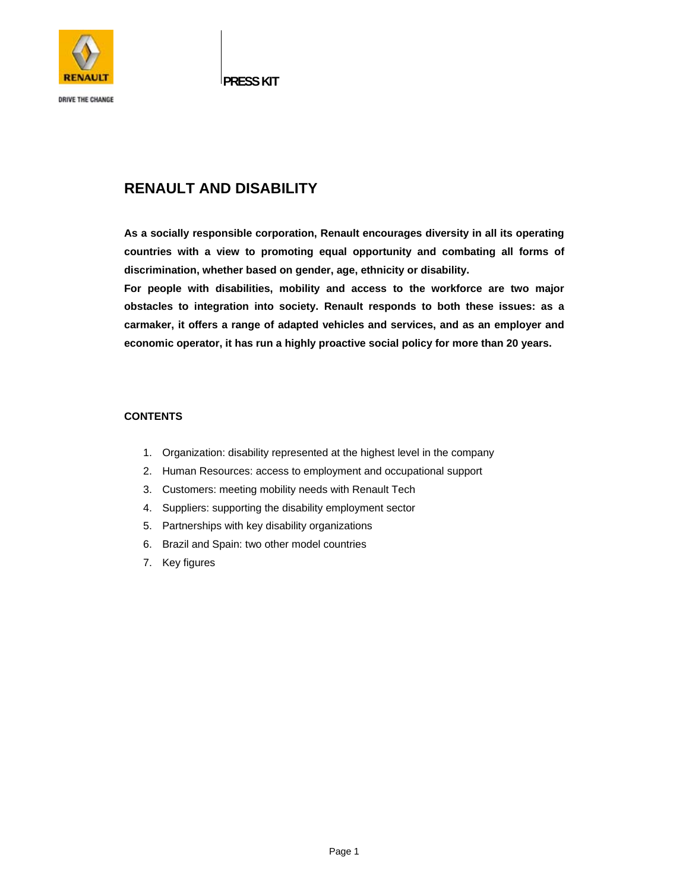

**DRIVE THE CHANGE** 

**PRESS KIT** 

# **RENAULT AND DISABILITY**

**As a socially responsible corporation, Renault encourages diversity in all its operating countries with a view to promoting equal opportunity and combating all forms of discrimination, whether based on gender, age, ethnicity or disability.** 

**For people with disabilities, mobility and access to the workforce are two major obstacles to integration into society. Renault responds to both these issues: as a carmaker, it offers a range of adapted vehicles and services, and as an employer and economic operator, it has run a highly proactive social policy for more than 20 years.** 

### **CONTENTS**

- 1. Organization: disability represented at the highest level in the company
- 2. Human Resources: access to employment and occupational support
- 3. Customers: meeting mobility needs with Renault Tech
- 4. Suppliers: supporting the disability employment sector
- 5. Partnerships with key disability organizations
- 6. Brazil and Spain: two other model countries
- 7. Key figures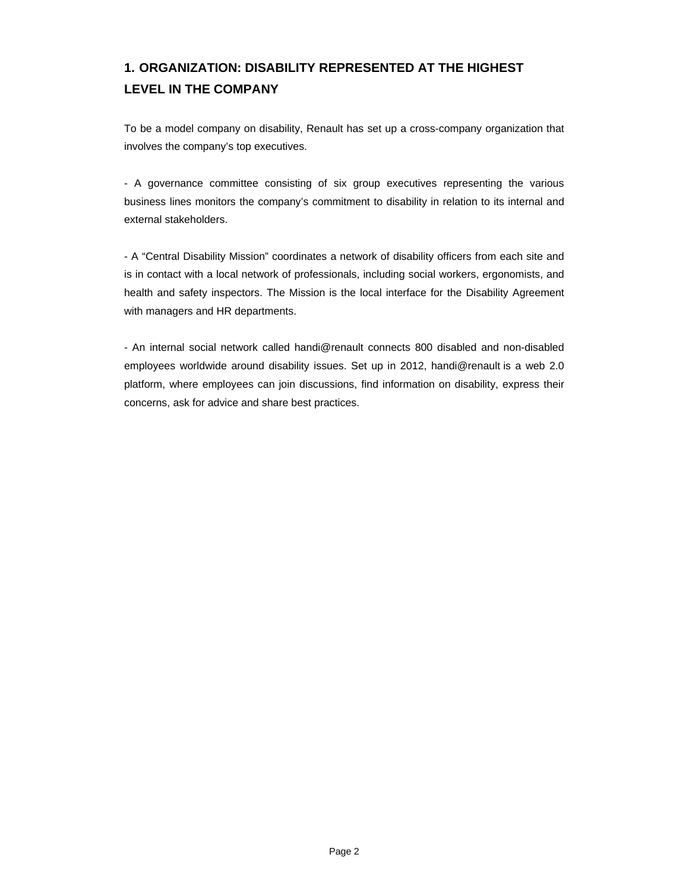# **1. ORGANIZATION: DISABILITY REPRESENTED AT THE HIGHEST LEVEL IN THE COMPANY**

To be a model company on disability, Renault has set up a cross-company organization that involves the company's top executives.

- A governance committee consisting of six group executives representing the various business lines monitors the company's commitment to disability in relation to its internal and external stakeholders.

- A "Central Disability Mission" coordinates a network of disability officers from each site and is in contact with a local network of professionals, including social workers, ergonomists, and health and safety inspectors. The Mission is the local interface for the Disability Agreement with managers and HR departments.

- An internal social network called handi@renault connects 800 disabled and non-disabled employees worldwide around disability issues. Set up in 2012, handi@renault is a web 2.0 platform, where employees can join discussions, find information on disability, express their concerns, ask for advice and share best practices.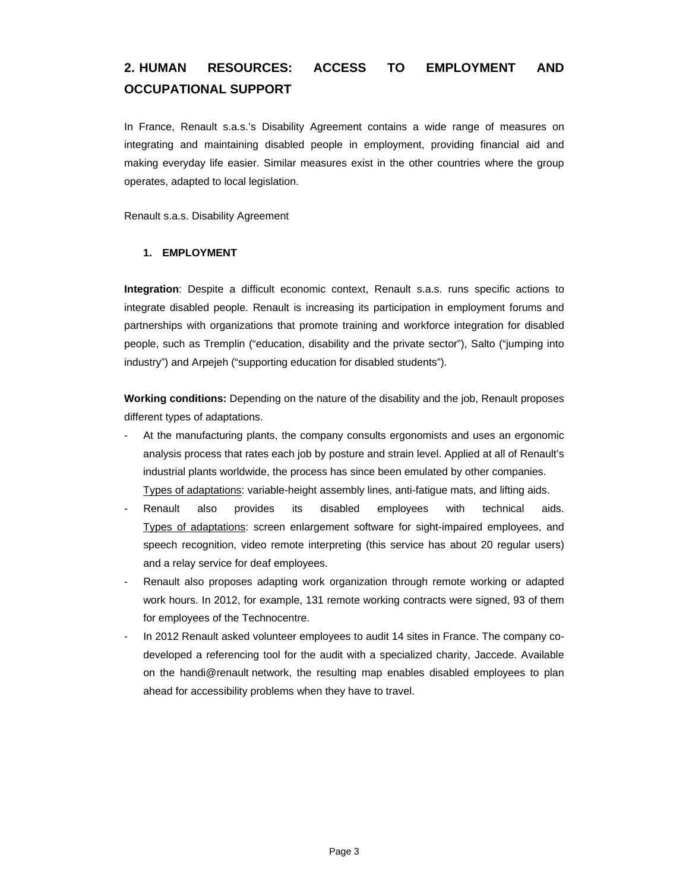# **2. HUMAN RESOURCES: ACCESS TO EMPLOYMENT AND OCCUPATIONAL SUPPORT**

In France, Renault s.a.s.'s Disability Agreement contains a wide range of measures on integrating and maintaining disabled people in employment, providing financial aid and making everyday life easier. Similar measures exist in the other countries where the group operates, adapted to local legislation.

Renault s.a.s. Disability Agreement

### **1. EMPLOYMENT**

**Integration**: Despite a difficult economic context, Renault s.a.s. runs specific actions to integrate disabled people. Renault is increasing its participation in employment forums and partnerships with organizations that promote training and workforce integration for disabled people, such as Tremplin ("education, disability and the private sector"), Salto ("jumping into industry") and Arpejeh ("supporting education for disabled students").

**Working conditions:** Depending on the nature of the disability and the job, Renault proposes different types of adaptations.

- At the manufacturing plants, the company consults ergonomists and uses an ergonomic analysis process that rates each job by posture and strain level. Applied at all of Renault's industrial plants worldwide, the process has since been emulated by other companies. Types of adaptations: variable-height assembly lines, anti-fatigue mats, and lifting aids.
- Renault also provides its disabled employees with technical aids. Types of adaptations: screen enlargement software for sight-impaired employees, and speech recognition, video remote interpreting (this service has about 20 regular users) and a relay service for deaf employees.
- Renault also proposes adapting work organization through remote working or adapted work hours. In 2012, for example, 131 remote working contracts were signed, 93 of them for employees of the Technocentre.
- In 2012 Renault asked volunteer employees to audit 14 sites in France. The company codeveloped a referencing tool for the audit with a specialized charity, Jaccede. Available on the handi@renault network, the resulting map enables disabled employees to plan ahead for accessibility problems when they have to travel.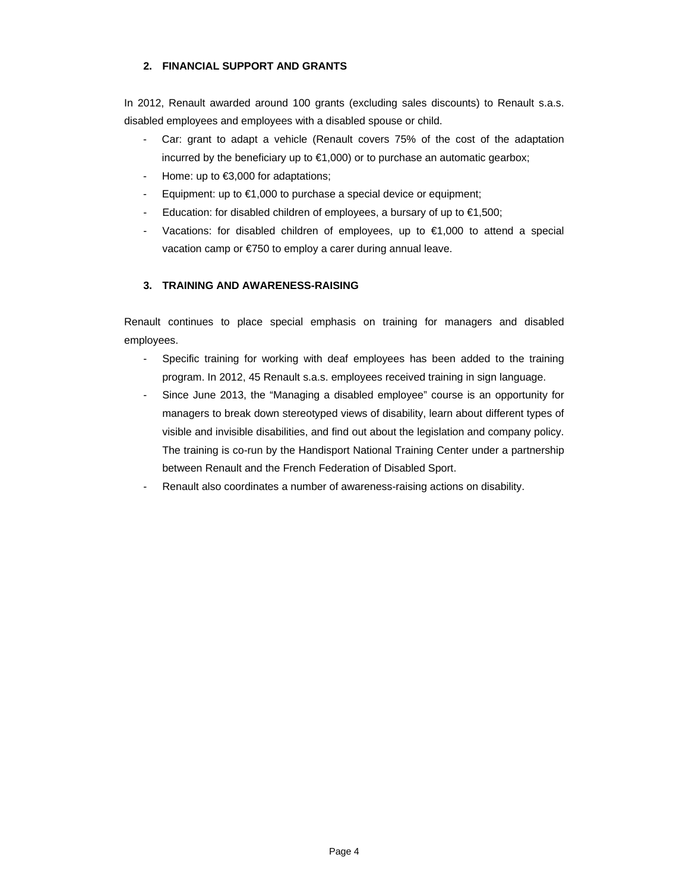### **2. FINANCIAL SUPPORT AND GRANTS**

In 2012, Renault awarded around 100 grants (excluding sales discounts) to Renault s.a.s. disabled employees and employees with a disabled spouse or child.

- Car: grant to adapt a vehicle (Renault covers 75% of the cost of the adaptation incurred by the beneficiary up to  $\epsilon$ 1,000) or to purchase an automatic gearbox;
- Home: up to €3,000 for adaptations;
- Equipment: up to €1,000 to purchase a special device or equipment;
- Education: for disabled children of employees, a bursary of up to  $\epsilon$ 1,500;
- Vacations: for disabled children of employees, up to  $\epsilon$ 1,000 to attend a special vacation camp or €750 to employ a carer during annual leave.

### **3. TRAINING AND AWARENESS-RAISING**

Renault continues to place special emphasis on training for managers and disabled employees.

- Specific training for working with deaf employees has been added to the training program. In 2012, 45 Renault s.a.s. employees received training in sign language.
- Since June 2013, the "Managing a disabled employee" course is an opportunity for managers to break down stereotyped views of disability, learn about different types of visible and invisible disabilities, and find out about the legislation and company policy. The training is co-run by the Handisport National Training Center under a partnership between Renault and the French Federation of Disabled Sport.
- Renault also coordinates a number of awareness-raising actions on disability.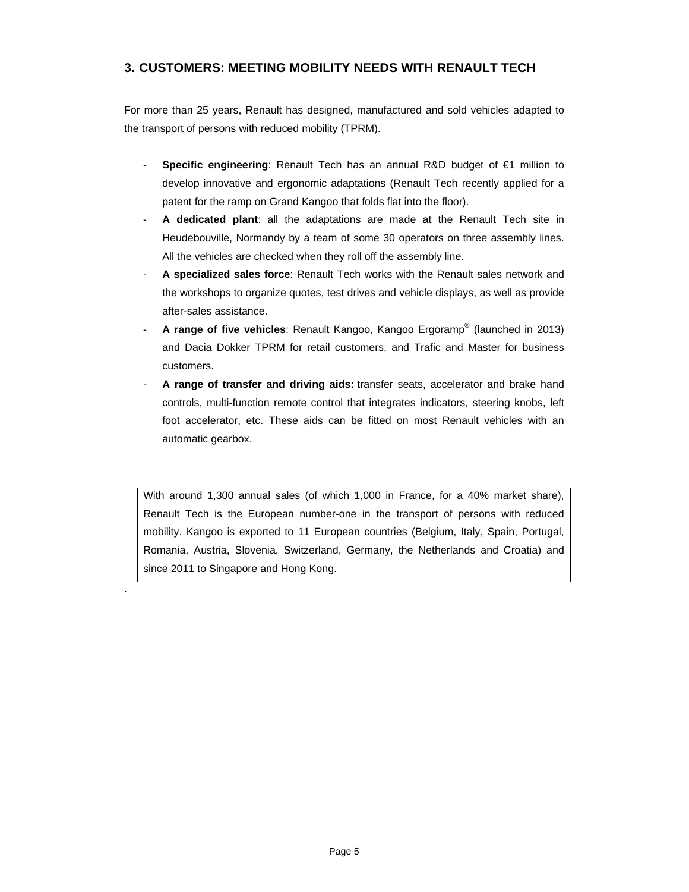## **3. CUSTOMERS: MEETING MOBILITY NEEDS WITH RENAULT TECH**

For more than 25 years, Renault has designed, manufactured and sold vehicles adapted to the transport of persons with reduced mobility (TPRM).

- **Specific engineering**: Renault Tech has an annual R&D budget of €1 million to develop innovative and ergonomic adaptations (Renault Tech recently applied for a patent for the ramp on Grand Kangoo that folds flat into the floor).
- **A dedicated plant**: all the adaptations are made at the Renault Tech site in Heudebouville, Normandy by a team of some 30 operators on three assembly lines. All the vehicles are checked when they roll off the assembly line.
- **A specialized sales force**: Renault Tech works with the Renault sales network and the workshops to organize quotes, test drives and vehicle displays, as well as provide after-sales assistance.
- **A range of five vehicles**: Renault Kangoo, Kangoo Ergoramp® (launched in 2013) and Dacia Dokker TPRM for retail customers, and Trafic and Master for business customers.
- **A range of transfer and driving aids:** transfer seats, accelerator and brake hand controls, multi-function remote control that integrates indicators, steering knobs, left foot accelerator, etc. These aids can be fitted on most Renault vehicles with an automatic gearbox.

With around 1,300 annual sales (of which 1,000 in France, for a 40% market share), Renault Tech is the European number-one in the transport of persons with reduced mobility. Kangoo is exported to 11 European countries (Belgium, Italy, Spain, Portugal, Romania, Austria, Slovenia, Switzerland, Germany, the Netherlands and Croatia) and since 2011 to Singapore and Hong Kong.

.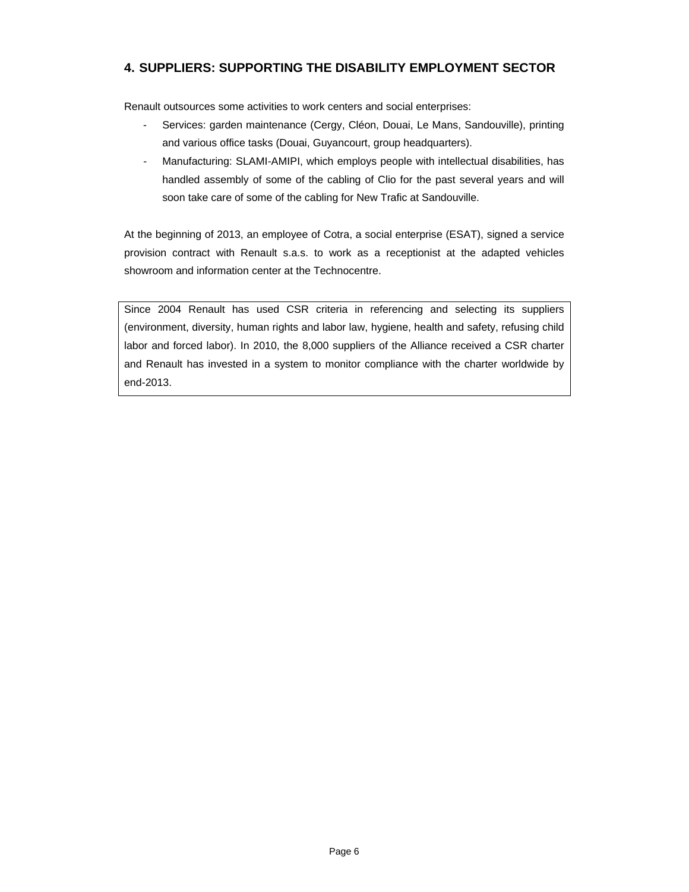## **4. SUPPLIERS: SUPPORTING THE DISABILITY EMPLOYMENT SECTOR**

Renault outsources some activities to work centers and social enterprises:

- Services: garden maintenance (Cergy, Cléon, Douai, Le Mans, Sandouville), printing and various office tasks (Douai, Guyancourt, group headquarters).
- Manufacturing: SLAMI-AMIPI, which employs people with intellectual disabilities, has handled assembly of some of the cabling of Clio for the past several years and will soon take care of some of the cabling for New Trafic at Sandouville.

At the beginning of 2013, an employee of Cotra, a social enterprise (ESAT), signed a service provision contract with Renault s.a.s. to work as a receptionist at the adapted vehicles showroom and information center at the Technocentre.

Since 2004 Renault has used CSR criteria in referencing and selecting its suppliers (environment, diversity, human rights and labor law, hygiene, health and safety, refusing child labor and forced labor). In 2010, the 8,000 suppliers of the Alliance received a CSR charter and Renault has invested in a system to monitor compliance with the charter worldwide by end-2013.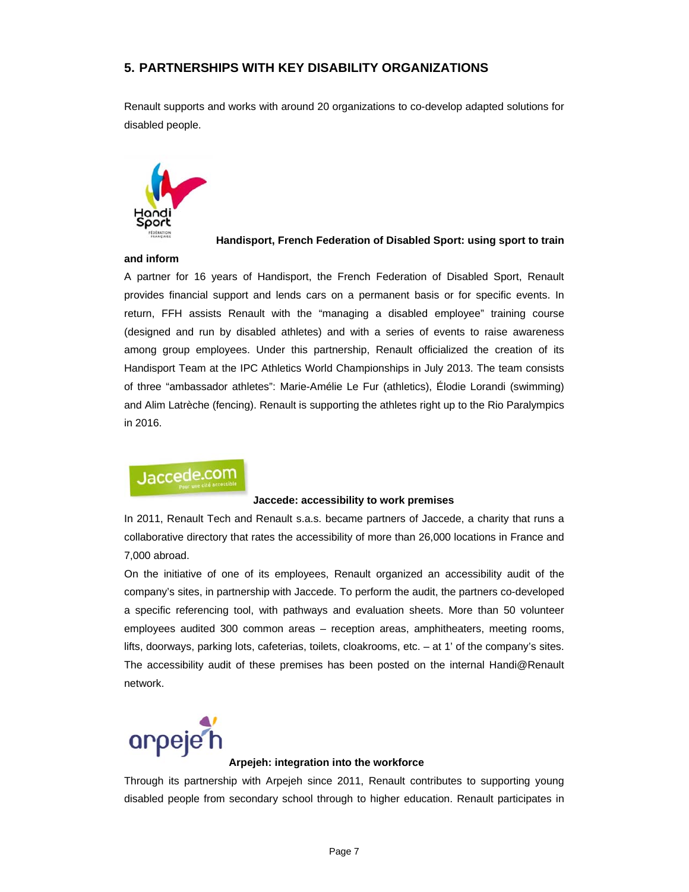## **5. PARTNERSHIPS WITH KEY DISABILITY ORGANIZATIONS**

Renault supports and works with around 20 organizations to co-develop adapted solutions for disabled people.



### **Handisport, French Federation of Disabled Sport: using sport to train**

### **and inform**

A partner for 16 years of Handisport, the French Federation of Disabled Sport, Renault provides financial support and lends cars on a permanent basis or for specific events. In return, FFH assists Renault with the "managing a disabled employee" training course (designed and run by disabled athletes) and with a series of events to raise awareness among group employees. Under this partnership, Renault officialized the creation of its Handisport Team at the IPC Athletics World Championships in July 2013. The team consists of three "ambassador athletes": Marie-Amélie Le Fur (athletics), Élodie Lorandi (swimming) and Alim Latrèche (fencing). Renault is supporting the athletes right up to the Rio Paralympics in 2016.

# Jaccede.com

### **Jaccede: accessibility to work premises**

In 2011, Renault Tech and Renault s.a.s. became partners of Jaccede, a charity that runs a collaborative directory that rates the accessibility of more than 26,000 locations in France and 7,000 abroad.

On the initiative of one of its employees, Renault organized an accessibility audit of the company's sites, in partnership with Jaccede. To perform the audit, the partners co-developed a specific referencing tool, with pathways and evaluation sheets. More than 50 volunteer employees audited 300 common areas – reception areas, amphitheaters, meeting rooms, lifts, doorways, parking lots, cafeterias, toilets, cloakrooms, etc. – at 1' of the company's sites. The accessibility audit of these premises has been posted on the internal Handi@Renault network.



### **Arpejeh: integration into the workforce**

Through its partnership with Arpejeh since 2011, Renault contributes to supporting young disabled people from secondary school through to higher education. Renault participates in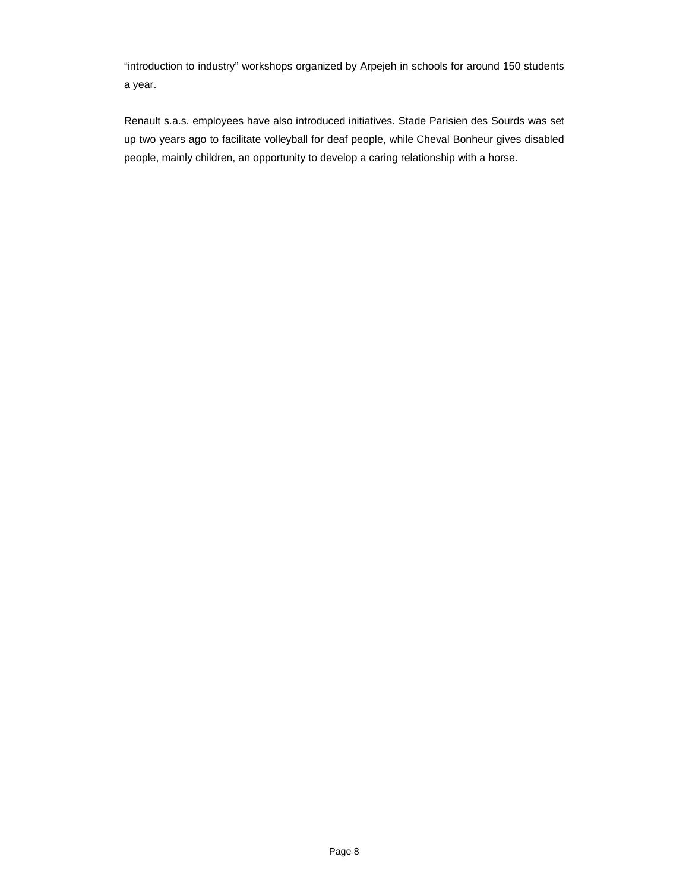"introduction to industry" workshops organized by Arpejeh in schools for around 150 students a year.

Renault s.a.s. employees have also introduced initiatives. Stade Parisien des Sourds was set up two years ago to facilitate volleyball for deaf people, while Cheval Bonheur gives disabled people, mainly children, an opportunity to develop a caring relationship with a horse.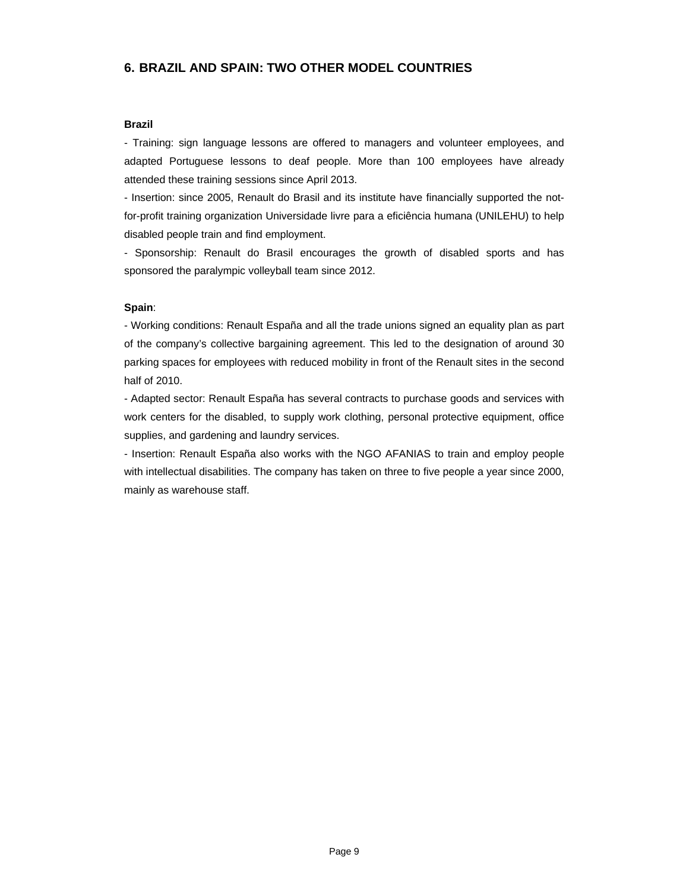## **6. BRAZIL AND SPAIN: TWO OTHER MODEL COUNTRIES**

### **Brazil**

- Training: sign language lessons are offered to managers and volunteer employees, and adapted Portuguese lessons to deaf people. More than 100 employees have already attended these training sessions since April 2013.

- Insertion: since 2005, Renault do Brasil and its institute have financially supported the notfor-profit training organization Universidade livre para a eficiência humana (UNILEHU) to help disabled people train and find employment.

- Sponsorship: Renault do Brasil encourages the growth of disabled sports and has sponsored the paralympic volleyball team since 2012.

### **Spain**:

- Working conditions: Renault España and all the trade unions signed an equality plan as part of the company's collective bargaining agreement. This led to the designation of around 30 parking spaces for employees with reduced mobility in front of the Renault sites in the second half of 2010.

- Adapted sector: Renault España has several contracts to purchase goods and services with work centers for the disabled, to supply work clothing, personal protective equipment, office supplies, and gardening and laundry services.

- Insertion: Renault España also works with the NGO AFANIAS to train and employ people with intellectual disabilities. The company has taken on three to five people a year since 2000, mainly as warehouse staff.